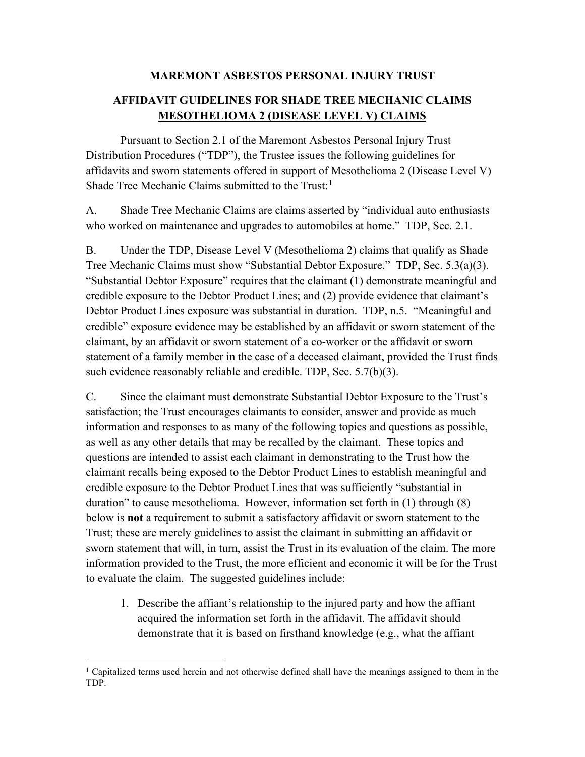## **MAREMONT ASBESTOS PERSONAL INJURY TRUST**

## **AFFIDAVIT GUIDELINES FOR SHADE TREE MECHANIC CLAIMS MESOTHELIOMA 2 (DISEASE LEVEL V) CLAIMS**

Pursuant to Section 2.1 of the Maremont Asbestos Personal Injury Trust Distribution Procedures ("TDP"), the Trustee issues the following guidelines for affidavits and sworn statements offered in support of Mesothelioma 2 (Disease Level V) Shade Tree Mechanic Claims submitted to the Trust:<sup>[1](#page-0-0)</sup>

A. Shade Tree Mechanic Claims are claims asserted by "individual auto enthusiasts who worked on maintenance and upgrades to automobiles at home." TDP, Sec. 2.1.

B. Under the TDP, Disease Level V (Mesothelioma 2) claims that qualify as Shade Tree Mechanic Claims must show "Substantial Debtor Exposure." TDP, Sec. 5.3(a)(3). "Substantial Debtor Exposure" requires that the claimant (1) demonstrate meaningful and credible exposure to the Debtor Product Lines; and (2) provide evidence that claimant's Debtor Product Lines exposure was substantial in duration. TDP, n.5. "Meaningful and credible" exposure evidence may be established by an affidavit or sworn statement of the claimant, by an affidavit or sworn statement of a co-worker or the affidavit or sworn statement of a family member in the case of a deceased claimant, provided the Trust finds such evidence reasonably reliable and credible. TDP, Sec. 5.7(b)(3).

C. Since the claimant must demonstrate Substantial Debtor Exposure to the Trust's satisfaction; the Trust encourages claimants to consider, answer and provide as much information and responses to as many of the following topics and questions as possible, as well as any other details that may be recalled by the claimant. These topics and questions are intended to assist each claimant in demonstrating to the Trust how the claimant recalls being exposed to the Debtor Product Lines to establish meaningful and credible exposure to the Debtor Product Lines that was sufficiently "substantial in duration" to cause mesothelioma. However, information set forth in (1) through (8) below is **not** a requirement to submit a satisfactory affidavit or sworn statement to the Trust; these are merely guidelines to assist the claimant in submitting an affidavit or sworn statement that will, in turn, assist the Trust in its evaluation of the claim. The more information provided to the Trust, the more efficient and economic it will be for the Trust to evaluate the claim. The suggested guidelines include:

1. Describe the affiant's relationship to the injured party and how the affiant acquired the information set forth in the affidavit. The affidavit should demonstrate that it is based on firsthand knowledge (e.g., what the affiant

<span id="page-0-0"></span><sup>&</sup>lt;sup>1</sup> Capitalized terms used herein and not otherwise defined shall have the meanings assigned to them in the TDP.